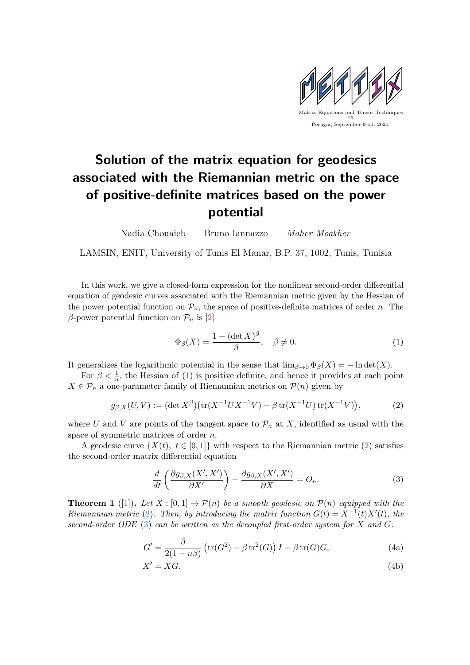

## Solution of the matrix equation for geodesics associated with the Riemannian metric on the space of positive-definite matrices based on the power potential

Nadia Chouaieb Bruno Iannazzo Maher Moakher

LAMSIN, ENIT, University of Tunis El Manar, B.P. 37, 1002, Tunis, Tunisia

In this work, we give a closed-form expression for the nonlinear second-order differential equation of geodesic curves associated with the Riemannian metric given by the Hessian of the power potential function on  $\mathcal{P}_n$ , the space of positive-definite matrices of order n. The β-power potential function on  $\mathcal{P}_n$  is [\[2\]](#page-1-0)

<span id="page-0-0"></span>
$$
\Phi_{\beta}(X) = \frac{1 - (\det X)^{\beta}}{\beta}, \quad \beta \neq 0.
$$
 (1)

It generalizes the logarithmic potential in the sense that  $\lim_{\beta \to 0} \Phi_{\beta}(X) = -\ln \det(X)$ .

For  $\beta < \frac{1}{n}$ , the Hessian of [\(1\)](#page-0-0) is positive definite, and hence it provides at each point  $X \in \mathcal{P}_n$  a one-parameter family of Riemannian metrics on  $\mathcal{P}(n)$  given by

<span id="page-0-1"></span>
$$
g_{\beta,X}(U,V) := (\det X^{\beta}) \big( \text{tr}(X^{-1}UX^{-1}V) - \beta \, \text{tr}(X^{-1}U) \, \text{tr}(X^{-1}V) \big),\tag{2}
$$

where U and V are points of the tangent space to  $\mathcal{P}_n$  at X, identified as usual with the space of symmetric matrices of order n.

A geodesic curve  $\{X(t), t \in [0,1]\}\$  with respect to the Riemannian metric [\(2\)](#page-0-1) satisfies the second-order matrix differential equation

<span id="page-0-3"></span><span id="page-0-2"></span>
$$
\frac{d}{dt}\left(\frac{\partial g_{\beta,X}(X',X')}{\partial X'}\right) - \frac{\partial g_{\beta,X}(X',X')}{\partial X} = O_n.
$$
\n(3)

**Theorem 1** ([\[1\]](#page-1-1)). Let  $X : [0,1] \to \mathcal{P}(n)$  be a smooth geodesic on  $\mathcal{P}(n)$  equipped with the Riemannian metric [\(2\)](#page-0-1). Then, by introducing the matrix function  $G(t) = X^{-1}(t)X'(t)$ , the second-order ODE [\(3\)](#page-0-2) can be written as the decoupled first-order system for X and  $G$ :

$$
G' = \frac{\beta}{2(1 - n\beta)} \left( \text{tr}(G^2) - \beta \, \text{tr}^2(G) \right) I - \beta \, \text{tr}(G) G,\tag{4a}
$$

$$
X' = XG.\t\t(4b)
$$